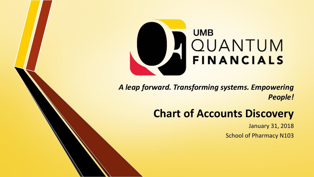

*A leap forward. Transforming systems. Empowering People!*

#### **Chart of Accounts Discovery**

January 31, 2018

School of Pharmacy N103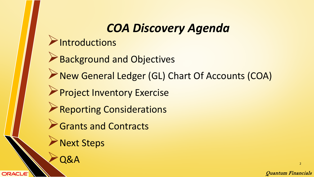#### *COA Discovery Agenda*

- $\blacktriangleright$ Introductions
- ▶ Background and Objectives
- New General Ledger (GL) Chart Of Accounts (COA)
- **Project Inventory Exercise**
- **Reporting Considerations**
- **Grants and Contracts** 
	- Next Steps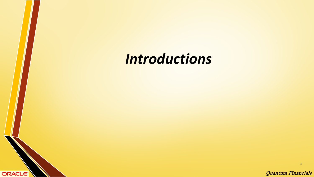# *Introductions*

**ORACLE** 

Quantum Financials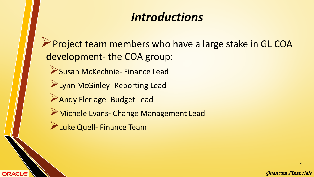### *Introductions*

Project team members who have a large stake in GL COA development- the COA group:

- Susan McKechnie- Finance Lead
- **Exam McGinley- Reporting Lead**
- Andy Flerlage- Budget Lead
- Michele Evans- Change Management Lead
- **Luke Quell- Finance Team**

**ORACLE**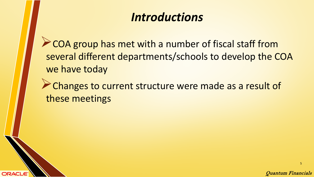### *Introductions*

**COA group has met with a number of fiscal staff from** several different departments/schools to develop the COA we have today

Changes to current structure were made as a result of these meetings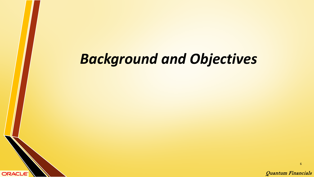# *Background and Objectives*

**ORACLE** 

Quantum Financials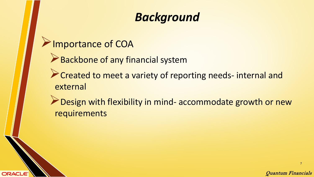## *Background*

**PImportance of COA** 

**ORACLE** 

- Backbone of any financial system
- **Created to meet a variety of reporting needs- internal and** external
- Design with flexibility in mind- accommodate growth or new requirements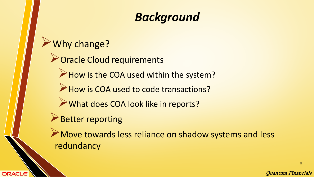## *Background*

#### Why change?

**Poracle Cloud requirements** 

How is the COA used within the system?

How is COA used to code transactions?

What does COA look like in reports?

Better reporting

**ORACLE** 

A Move towards less reliance on shadow systems and less redundancy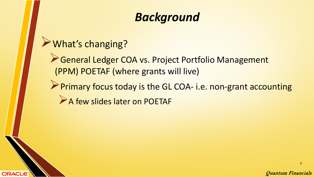## *Background*

#### What's changing?

**ORACLE** 

General Ledger COA vs. Project Portfolio Management (PPM) POETAF (where grants will live)

Primary focus today is the GL COA- i.e. non-grant accounting A few slides later on POETAF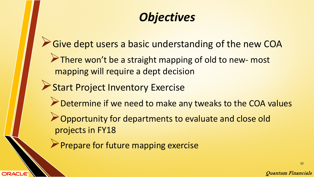## *Objectives*

- Give dept users a basic understanding of the new COA
	- There won't be a straight mapping of old to new- most mapping will require a dept decision
- **Start Project Inventory Exercise**

- Determine if we need to make any tweaks to the COA values
- **Opportunity for departments to evaluate and close old** projects in FY18
- **Prepare for future mapping exercise**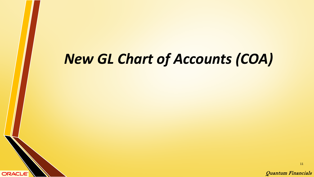# *New GL Chart of Accounts (COA)*

**ORACLE** 

Quantum Financials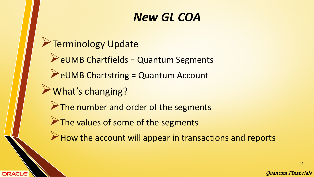- **Terminology Update** 
	- eUMB Chartfields = Quantum Segments
	- $\triangle$  eUMB Chartstring = Quantum Account
- What's changing?

**ORACLE** 

- The number and order of the segments
- The values of some of the segments
- $\triangleright$  How the account will appear in transactions and reports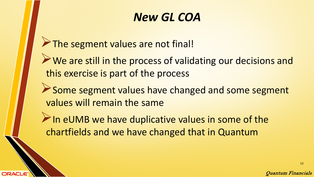The segment values are not final!

ORACLE

We are still in the process of validating our decisions and this exercise is part of the process

Some segment values have changed and some segment values will remain the same

 $\triangleright$  In eUMB we have duplicative values in some of the chartfields and we have changed that in Quantum

Quantum Financials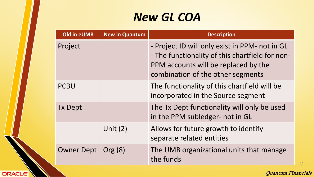| <b>Old in eUMB</b> | <b>New in Quantum</b> | <b>Description</b>                                                                                                                                                             |
|--------------------|-----------------------|--------------------------------------------------------------------------------------------------------------------------------------------------------------------------------|
| Project            |                       | - Project ID will only exist in PPM- not in GL<br>- The functionality of this chartfield for non-<br>PPM accounts will be replaced by the<br>combination of the other segments |
| <b>PCBU</b>        |                       | The functionality of this chartfield will be<br>incorporated in the Source segment                                                                                             |
| <b>Tx Dept</b>     |                       | The Tx Dept functionality will only be used<br>in the PPM subledger- not in GL                                                                                                 |
|                    | Unit $(2)$            | Allows for future growth to identify<br>separate related entities                                                                                                              |
| <b>Owner Dept</b>  | Org (8)               | The UMB organizational units that manage<br>the funds                                                                                                                          |

ORACLE

Quantum Financials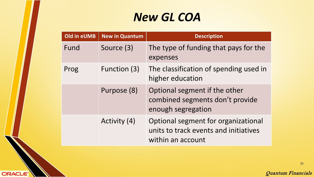| Old in eUMB | <b>New in Quantum</b> | <b>Description</b>                                                                                |
|-------------|-----------------------|---------------------------------------------------------------------------------------------------|
| Fund        | Source (3)            | The type of funding that pays for the<br>expenses                                                 |
| Prog        | Function (3)          | The classification of spending used in<br>higher education                                        |
|             | Purpose (8)           | Optional segment if the other<br>combined segments don't provide<br>enough segregation            |
|             | Activity (4)          | Optional segment for organizational<br>units to track events and initiatives<br>within an account |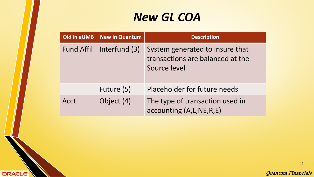| Old in eUMB       | <b>New in Quantum</b> | <b>Description</b>                                                                  |
|-------------------|-----------------------|-------------------------------------------------------------------------------------|
| <b>Fund Affil</b> | Interfund (3)         | System generated to insure that<br>transactions are balanced at the<br>Source level |
|                   | Future (5)            | Placeholder for future needs                                                        |
| Acct              | Object (4)            | The type of transaction used in<br>accounting (A, L, NE, R, E)                      |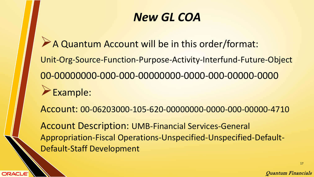A Quantum Account will be in this order/format: Unit-Org-Source-Function-Purpose-Activity-Interfund-Future-Object 00-00000000-000-000-00000000-0000-000-00000-0000 Example:

Account: 00-06203000-105-620-00000000-0000-000-00000-4710

Account Description: UMB-Financial Services-General Appropriation-Fiscal Operations-Unspecified-Unspecified-Default-Default-Staff Development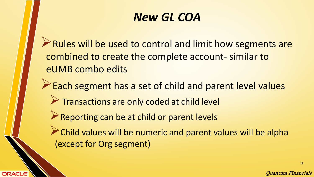Rules will be used to control and limit how segments are combined to create the complete account- similar to eUMB combo edits

Each segment has a set of child and parent level values

- Transactions are only coded at child level
- Reporting can be at child or parent levels

ORACLE

 $\triangleright$  Child values will be numeric and parent values will be alpha (except for Org segment)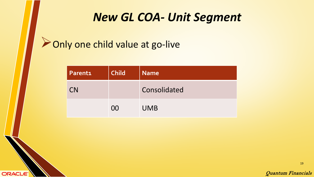#### *New GL COA- Unit Segment*

#### **Donly one child value at go-live**

**ORACLE** 

| <b>Parenti</b> | <b>Child</b> | <b>Name</b>  |  |
|----------------|--------------|--------------|--|
| <b>CN</b>      |              | Consolidated |  |
|                | 00           | <b>UMB</b>   |  |

Quantum Financials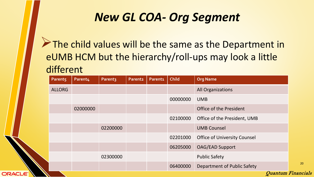#### *New GL COA- Org Segment*

The child values will be the same as the Department in eUMB HCM but the hierarchy/roll-ups may look a little different

| Parent5       | Parent4  | Parent3  | <b>Parent2</b> | <b>Parenti</b> | <b>Child</b> | <b>Org Name</b>                     |
|---------------|----------|----------|----------------|----------------|--------------|-------------------------------------|
| <b>ALLORG</b> |          |          |                |                |              | <b>All Organizations</b>            |
|               |          |          |                |                | 00000000     | <b>UMB</b>                          |
|               | 02000000 |          |                |                |              | Office of the President             |
|               |          |          |                |                | 02100000     | Office of the President, UMB        |
|               |          | 02200000 |                |                |              | <b>UMB Counsel</b>                  |
|               |          |          |                |                | 02201000     | <b>Office of University Counsel</b> |
|               |          |          |                |                | 06205000     | <b>OAG/EAD Support</b>              |
|               |          | 02300000 |                |                |              | <b>Public Safety</b>                |
|               |          |          |                |                | 06400000     | Department of Public Safety         |
|               |          |          |                |                |              | <b>Ouantum Financials</b>           |

**ORACLE**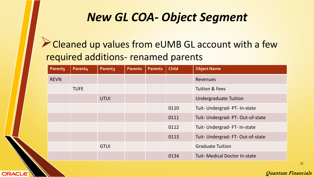#### *New GL COA- Object Segment*

#### Cleaned up values from eUMB GL account with a few required additions- renamed parents

| Parent <sub>5</sub> | Parent4     | Parent <sub>3</sub> | <b>Parent2</b> | <b>Parenti</b> | <b>Child</b> | <b>Object Name</b>                  |
|---------------------|-------------|---------------------|----------------|----------------|--------------|-------------------------------------|
| <b>REVN</b>         |             |                     |                |                |              | Revenues                            |
|                     | <b>TUFE</b> |                     |                |                |              | <b>Tuition &amp; Fees</b>           |
|                     |             | <b>UTUI</b>         |                |                |              | <b>Undergraduate Tuition</b>        |
|                     |             |                     |                |                | 0110         | Tuit- Undergrad- PT- In-state       |
|                     |             |                     |                |                | 0111         | Tuit- Undergrad- PT- Out-of-state   |
|                     |             |                     |                |                | 0112         | Tuit- Undergrad- FT- In-state       |
|                     |             |                     |                |                | 0113         | Tuit- Undergrad-FT-Out-of-state     |
|                     |             | <b>GTUI</b>         |                |                |              | <b>Graduate Tuition</b>             |
|                     |             |                     |                |                | 0134         | <b>Tuit-Medical Doctor In-state</b> |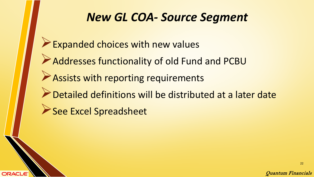#### *New GL COA- Source Segment*

- Expanded choices with new values
- Addresses functionality of old Fund and PCBU
- **Assists with reporting requirements**
- Detailed definitions will be distributed at a later date
- See Excel Spreadsheet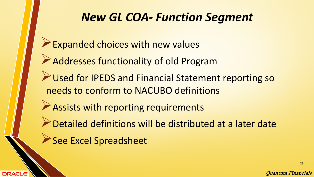#### *New GL COA- Function Segment*

- Expanded choices with new values
- Addresses functionality of old Program
- Aused for IPEDS and Financial Statement reporting so needs to conform to NACUBO definitions
- Assists with reporting requirements
- Detailed definitions will be distributed at a later date
- See Excel Spreadsheet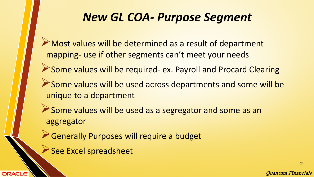#### *New GL COA- Purpose Segment*

- Most values will be determined as a result of department mapping- use if other segments can't meet your needs
- Some values will be required- ex. Payroll and Procard Clearing
- Some values will be used across departments and some will be unique to a department
- Some values will be used as a segregator and some as an aggregator
- Generally Purposes will require a budget
- See Excel spreadsheet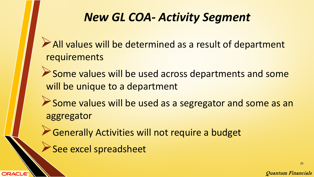### *New GL COA- Activity Segment*

- All values will be determined as a result of department requirements
- Some values will be used across departments and some will be unique to a department
- Some values will be used as a segregator and some as an aggregator
- Generally Activities will not require a budget
- See excel spreadsheet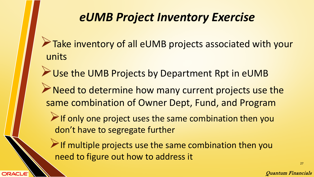- Take inventory of all eUMB projects associated with your units
- Use the UMB Projects by Department Rpt in eUMB
- Reed to determine how many current projects use the same combination of Owner Dept, Fund, and Program
	- $\triangleright$  If only one project uses the same combination then you don't have to segregate further
	- $\triangleright$  If multiple projects use the same combination then you need to figure out how to address it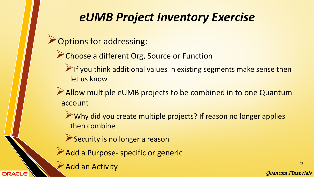**Options for addressing:** 

- **Choose a different Org, Source or Function** 
	- $\triangleright$  If you think additional values in existing segments make sense then let us know
- Allow multiple eUMB projects to be combined in to one Quantum account
	- Why did you create multiple projects? If reason no longer applies then combine
	- Security is no longer a reason
- Add a Purpose- specific or generic
	- Add an Activity

**ORACLE**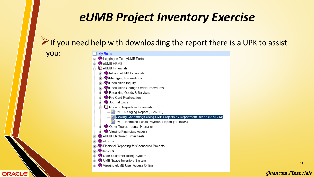$\triangleright$  If you need help with downloading the report there is a UPK to assist

you:

**ORACLE** 

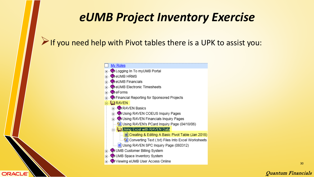#### $\triangleright$  If you need help with Pivot tables there is a UPK to assist you:

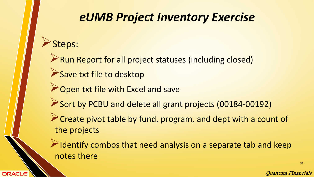#### Steps:

**ORACLE** 

**Run Report for all project statuses (including closed)** 

- Save txt file to desktop
- **Open txt file with Excel and save**
- Sort by PCBU and delete all grant projects (00184-00192)
- Create pivot table by fund, program, and dept with a count of the projects

 $\blacktriangleright$  Identify combos that need analysis on a separate tab and keep notes there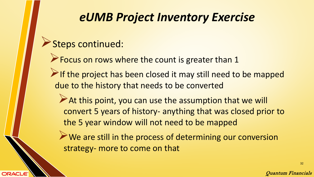#### Steps continued:

**ORACLE** 

**Focus on rows where the count is greater than 1** 

 $\triangleright$  If the project has been closed it may still need to be mapped due to the history that needs to be converted

At this point, you can use the assumption that we will convert 5 years of history- anything that was closed prior to the 5 year window will not need to be mapped

We are still in the process of determining our conversion strategy- more to come on that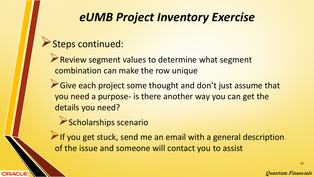#### Steps continued:

- Review segment values to determine what segment combination can make the row unique
- Give each project some thought and don't just assume that you need a purpose- is there another way you can get the details you need?
	- Scholarships scenario
- $\blacktriangleright$  If you get stuck, send me an email with a general description of the issue and someone will contact you to assist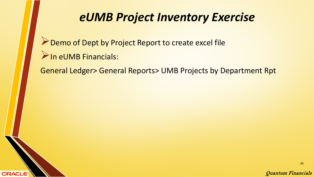Demo of Dept by Project Report to create excel file In eUMB Financials:

**ORACLE** 

General Ledger> General Reports> UMB Projects by Department Rpt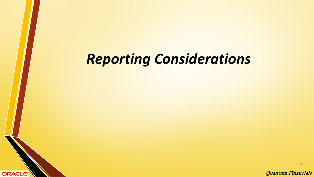# *Reporting Considerations*

**ORACLE** 

Quantum Financials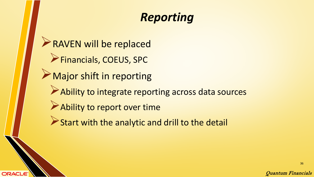## *Reporting*

RAVEN will be replaced Financials, COEUS, SPC Major shift in reporting Ability to integrate reporting across data sources Ability to report over time Start with the analytic and drill to the detail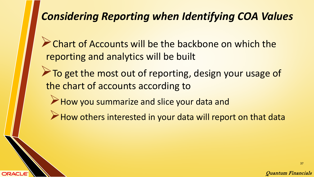#### *Considering Reporting when Identifying COA Values*

**Chart of Accounts will be the backbone on which the** reporting and analytics will be built

- To get the most out of reporting, design your usage of the chart of accounts according to
	- How you summarize and slice your data and

ORACI

 $\triangleright$  How others interested in your data will report on that data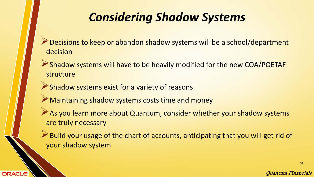# *Considering Shadow Systems*

- Decisions to keep or abandon shadow systems will be a school/department decision
- Shadow systems will have to be heavily modified for the new COA/POETAF structure
- Shadow systems exist for a variety of reasons

- Maintaining shadow systems costs time and money
- As you learn more about Quantum, consider whether your shadow systems are truly necessary
- Build your usage of the chart of accounts, anticipating that you will get rid of your shadow system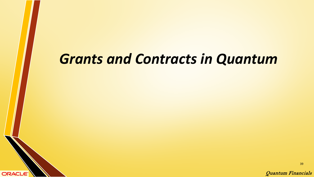# *Grants and Contracts in Quantum*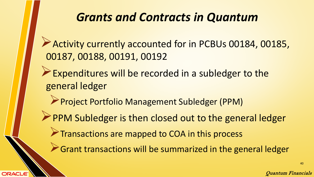#### *Grants and Contracts in Quantum*

Activity currently accounted for in PCBUs 00184, 00185, 00187, 00188, 00191, 00192

- Expenditures will be recorded in a subledger to the general ledger
	- Project Portfolio Management Subledger (PPM)
- PPM Subledger is then closed out to the general ledger
	- **Transactions are mapped to COA in this process**

**ORACLE** 

Grant transactions will be summarized in the general ledger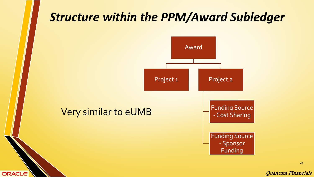#### *Structure within the PPM/Award Subledger*



**ORACLE** 

41

Quantum Financials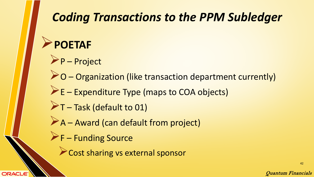# *Coding Transactions to the PPM Subledger*

## **POETAF**

**ORACLE** 

- P Project
- O Organization (like transaction department currently)
- $\triangleright$  E Expenditure Type (maps to COA objects)
- $\blacktriangleright$ T Task (default to 01)
- A Award (can default from project)
- **F** Funding Source
	- **Cost sharing vs external sponsor**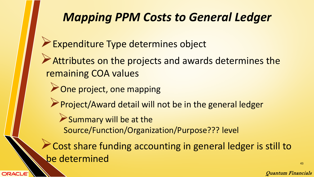### *Mapping PPM Costs to General Ledger*

- Expenditure Type determines object
- Attributes on the projects and awards determines the remaining COA values
	- **Done project, one mapping**

**ORACLE** 

- Project/Award detail will not be in the general ledger
	- Summary will be at the Source/Function/Organization/Purpose??? level
- Cost share funding accounting in general ledger is still to be determined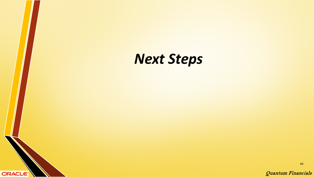

44

Quantum Financials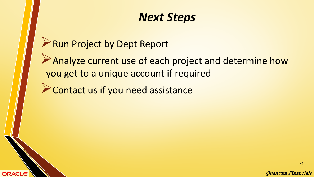#### *Next Steps*

Run Project by Dept Report

**ORACLE** 

Analyze current use of each project and determine how you get to a unique account if required

**Example 2 Contact us if you need assistance** 

Quantum Financials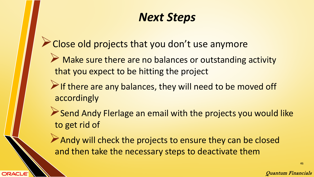#### *Next Steps*

- Close old projects that you don't use anymore
	- A Make sure there are no balances or outstanding activity that you expect to be hitting the project
	- $\triangleright$  If there are any balances, they will need to be moved off accordingly
	- Send Andy Flerlage an email with the projects you would like to get rid of
	- Andy will check the projects to ensure they can be closed and then take the necessary steps to deactivate them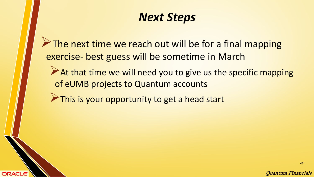#### *Next Steps*

The next time we reach out will be for a final mapping exercise- best guess will be sometime in March

At that time we will need you to give us the specific mapping of eUMB projects to Quantum accounts

This is your opportunity to get a head start